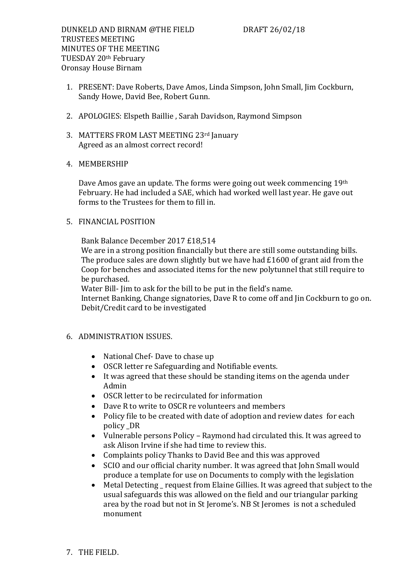- 1. PRESENT: Dave Roberts, Dave Amos, Linda Simpson, John Small, Jim Cockburn, Sandy Howe, David Bee, Robert Gunn.
- 2. APOLOGIES: Elspeth Baillie , Sarah Davidson, Raymond Simpson
- 3. MATTERS FROM LAST MEETING 23rd January Agreed as an almost correct record!
- 4. MEMBERSHIP

Dave Amos gave an update. The forms were going out week commencing 19th February. He had included a SAE, which had worked well last year. He gave out forms to the Trustees for them to fill in.

5. FINANCIAL POSITION

Bank Balance December 2017 £18,514

We are in a strong position financially but there are still some outstanding bills. The produce sales are down slightly but we have had £1600 of grant aid from the Coop for benches and associated items for the new polytunnel that still require to be purchased.

Water Bill- Jim to ask for the bill to be put in the field's name.

Internet Banking, Change signatories, Dave R to come off and Jin Cockburn to go on. Debit/Credit card to be investigated

- 6. ADMINISTRATION ISSUES.
	- National Chef-Dave to chase up
	- OSCR letter re Safeguarding and Notifiable events.
	- It was agreed that these should be standing items on the agenda under Admin
	- OSCR letter to be recirculated for information
	- Dave R to write to OSCR re volunteers and members
	- Policy file to be created with date of adoption and review dates for each policy \_DR
	- Vulnerable persons Policy Raymond had circulated this. It was agreed to ask Alison Irvine if she had time to review this.
	- Complaints policy Thanks to David Bee and this was approved
	- SCIO and our official charity number. It was agreed that John Small would produce a template for use on Documents to comply with the legislation
	- Metal Detecting request from Elaine Gillies. It was agreed that subject to the usual safeguards this was allowed on the field and our triangular parking area by the road but not in St Jerome's. NB St Jeromes is not a scheduled monument